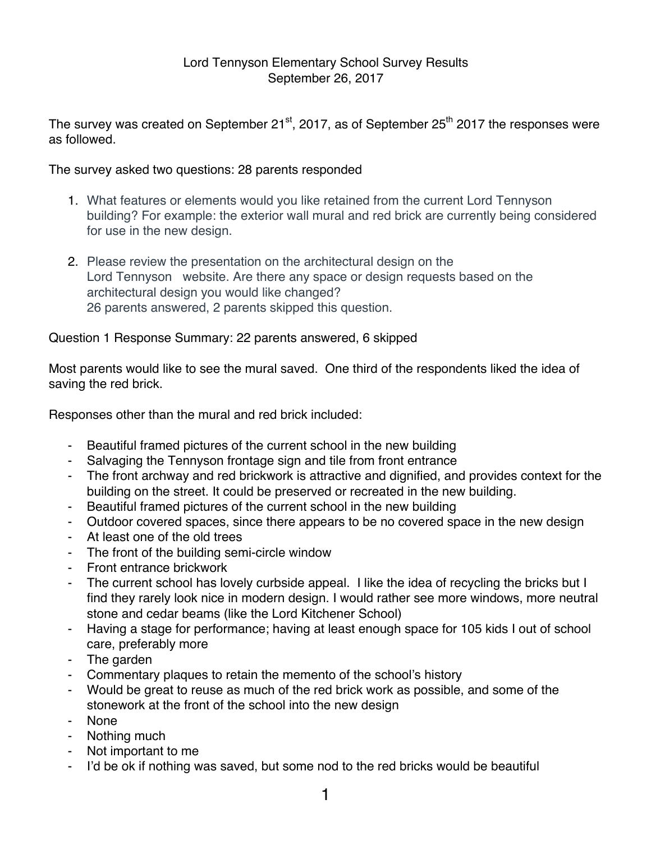## Lord Tennyson Elementary School Survey Results September 26, 2017

The survey was created on September  $21^{st}$ , 2017, as of September  $25^{th}$  2017 the responses were as followed.

The survey asked two questions: 28 parents responded

- 1. What features or elements would you like retained from the current Lord Tennyson building? For example: the exterior wall mural and red brick are currently being considered for use in the new design.
- 2. Please review the presentation on the architectural design on the Lord Tennyson website. Are there any space or design requests based on the architectural design you would like changed? 26 parents answered, 2 parents skipped this question.

## Question 1 Response Summary: 22 parents answered, 6 skipped

Most parents would like to see the mural saved. One third of the respondents liked the idea of saving the red brick.

Responses other than the mural and red brick included:

- Beautiful framed pictures of the current school in the new building
- Salvaging the Tennyson frontage sign and tile from front entrance
- The front archway and red brickwork is attractive and dignified, and provides context for the building on the street. It could be preserved or recreated in the new building.
- Beautiful framed pictures of the current school in the new building
- Outdoor covered spaces, since there appears to be no covered space in the new design
- At least one of the old trees
- The front of the building semi-circle window
- Front entrance brickwork
- The current school has lovely curbside appeal. I like the idea of recycling the bricks but I find they rarely look nice in modern design. I would rather see more windows, more neutral stone and cedar beams (like the Lord Kitchener School)
- Having a stage for performance; having at least enough space for 105 kids I out of school care, preferably more
- The garden
- Commentary plaques to retain the memento of the school's history
- Would be great to reuse as much of the red brick work as possible, and some of the stonework at the front of the school into the new design
- None
- Nothing much
- Not important to me
- I'd be ok if nothing was saved, but some nod to the red bricks would be beautiful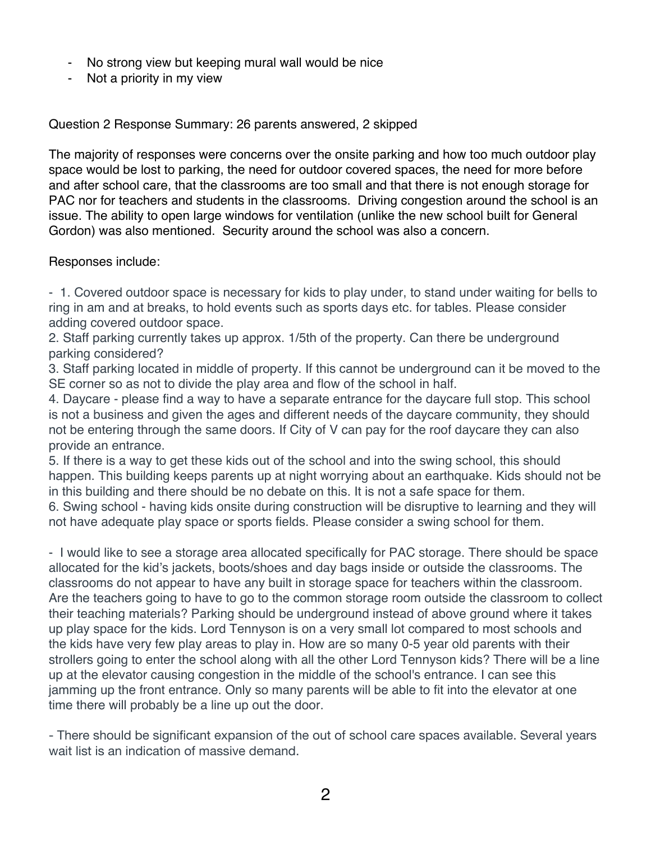- No strong view but keeping mural wall would be nice
- Not a priority in my view

Question 2 Response Summary: 26 parents answered, 2 skipped

The majority of responses were concerns over the onsite parking and how too much outdoor play space would be lost to parking, the need for outdoor covered spaces, the need for more before and after school care, that the classrooms are too small and that there is not enough storage for PAC nor for teachers and students in the classrooms. Driving congestion around the school is an issue. The ability to open large windows for ventilation (unlike the new school built for General Gordon) was also mentioned. Security around the school was also a concern.

## Responses include:

- 1. Covered outdoor space is necessary for kids to play under, to stand under waiting for bells to ring in am and at breaks, to hold events such as sports days etc. for tables. Please consider adding covered outdoor space.

2. Staff parking currently takes up approx. 1/5th of the property. Can there be underground parking considered?

3. Staff parking located in middle of property. If this cannot be underground can it be moved to the SE corner so as not to divide the play area and flow of the school in half.

4. Daycare - please find a way to have a separate entrance for the daycare full stop. This school is not a business and given the ages and different needs of the daycare community, they should not be entering through the same doors. If City of V can pay for the roof daycare they can also provide an entrance.

5. If there is a way to get these kids out of the school and into the swing school, this should happen. This building keeps parents up at night worrying about an earthquake. Kids should not be in this building and there should be no debate on this. It is not a safe space for them.

6. Swing school - having kids onsite during construction will be disruptive to learning and they will not have adequate play space or sports fields. Please consider a swing school for them.

- I would like to see a storage area allocated specifically for PAC storage. There should be space allocated for the kid's jackets, boots/shoes and day bags inside or outside the classrooms. The classrooms do not appear to have any built in storage space for teachers within the classroom. Are the teachers going to have to go to the common storage room outside the classroom to collect their teaching materials? Parking should be underground instead of above ground where it takes up play space for the kids. Lord Tennyson is on a very small lot compared to most schools and the kids have very few play areas to play in. How are so many 0-5 year old parents with their strollers going to enter the school along with all the other Lord Tennyson kids? There will be a line up at the elevator causing congestion in the middle of the school's entrance. I can see this jamming up the front entrance. Only so many parents will be able to fit into the elevator at one time there will probably be a line up out the door.

- There should be significant expansion of the out of school care spaces available. Several years wait list is an indication of massive demand.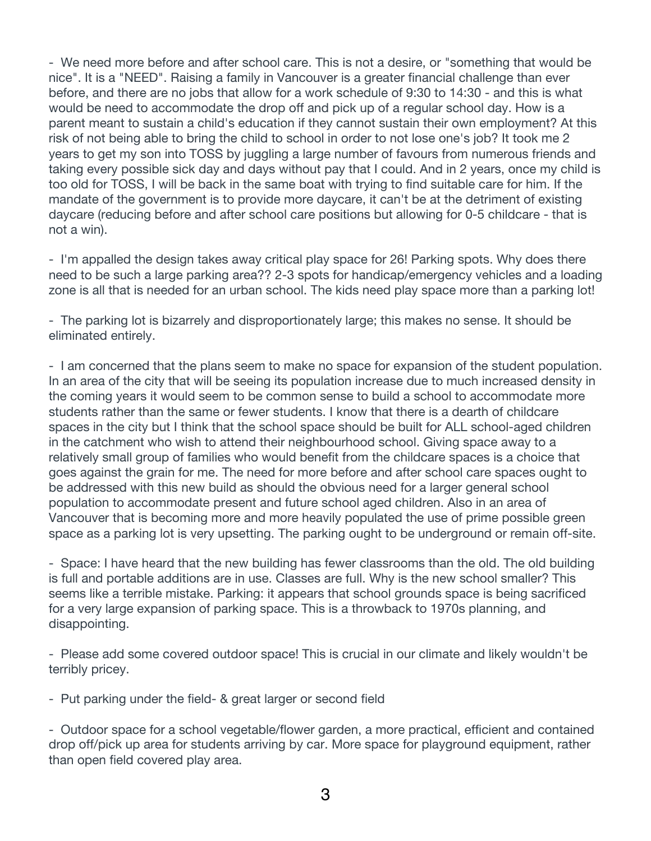- We need more before and after school care. This is not a desire, or "something that would be nice". It is a "NEED". Raising a family in Vancouver is a greater financial challenge than ever before, and there are no jobs that allow for a work schedule of 9:30 to 14:30 - and this is what would be need to accommodate the drop off and pick up of a regular school day. How is a parent meant to sustain a child's education if they cannot sustain their own employment? At this risk of not being able to bring the child to school in order to not lose one's job? It took me 2 years to get my son into TOSS by juggling a large number of favours from numerous friends and taking every possible sick day and days without pay that I could. And in 2 years, once my child is too old for TOSS, I will be back in the same boat with trying to find suitable care for him. If the mandate of the government is to provide more daycare, it can't be at the detriment of existing daycare (reducing before and after school care positions but allowing for 0-5 childcare - that is not a win).

- I'm appalled the design takes away critical play space for 26! Parking spots. Why does there need to be such a large parking area?? 2-3 spots for handicap/emergency vehicles and a loading zone is all that is needed for an urban school. The kids need play space more than a parking lot!

- The parking lot is bizarrely and disproportionately large; this makes no sense. It should be eliminated entirely.

- I am concerned that the plans seem to make no space for expansion of the student population. In an area of the city that will be seeing its population increase due to much increased density in the coming years it would seem to be common sense to build a school to accommodate more students rather than the same or fewer students. I know that there is a dearth of childcare spaces in the city but I think that the school space should be built for ALL school-aged children in the catchment who wish to attend their neighbourhood school. Giving space away to a relatively small group of families who would benefit from the childcare spaces is a choice that goes against the grain for me. The need for more before and after school care spaces ought to be addressed with this new build as should the obvious need for a larger general school population to accommodate present and future school aged children. Also in an area of Vancouver that is becoming more and more heavily populated the use of prime possible green space as a parking lot is very upsetting. The parking ought to be underground or remain off-site.

- Space: I have heard that the new building has fewer classrooms than the old. The old building is full and portable additions are in use. Classes are full. Why is the new school smaller? This seems like a terrible mistake. Parking: it appears that school grounds space is being sacrificed for a very large expansion of parking space. This is a throwback to 1970s planning, and disappointing.

- Please add some covered outdoor space! This is crucial in our climate and likely wouldn't be terribly pricey.

- Put parking under the field- & great larger or second field

- Outdoor space for a school vegetable/flower garden, a more practical, efficient and contained drop off/pick up area for students arriving by car. More space for playground equipment, rather than open field covered play area.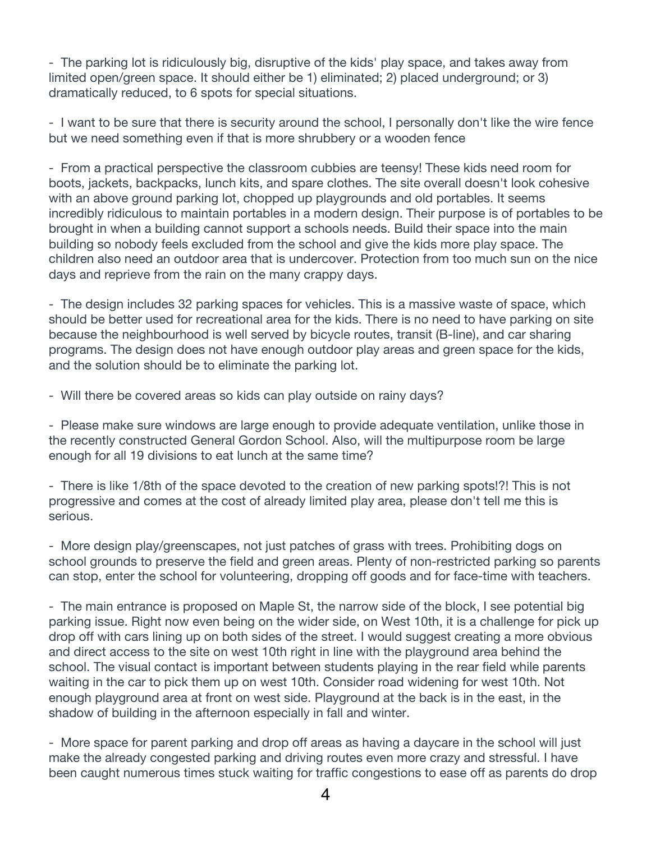- The parking lot is ridiculously big, disruptive of the kids' play space, and takes away from limited open/green space. It should either be 1) eliminated; 2) placed underground; or 3) dramatically reduced, to 6 spots for special situations.

- I want to be sure that there is security around the school, I personally don't like the wire fence but we need something even if that is more shrubbery or a wooden fence

- From a practical perspective the classroom cubbies are teensy! These kids need room for boots, jackets, backpacks, lunch kits, and spare clothes. The site overall doesn't look cohesive with an above ground parking lot, chopped up playgrounds and old portables. It seems incredibly ridiculous to maintain portables in a modern design. Their purpose is of portables to be brought in when a building cannot support a schools needs. Build their space into the main building so nobody feels excluded from the school and give the kids more play space. The children also need an outdoor area that is undercover. Protection from too much sun on the nice days and reprieve from the rain on the many crappy days.

- The design includes 32 parking spaces for vehicles. This is a massive waste of space, which should be better used for recreational area for the kids. There is no need to have parking on site because the neighbourhood is well served by bicycle routes, transit (B-line), and car sharing programs. The design does not have enough outdoor play areas and green space for the kids, and the solution should be to eliminate the parking lot.

- Will there be covered areas so kids can play outside on rainy days?

- Please make sure windows are large enough to provide adequate ventilation, unlike those in the recently constructed General Gordon School. Also, will the multipurpose room be large enough for all 19 divisions to eat lunch at the same time?

- There is like 1/8th of the space devoted to the creation of new parking spots!?! This is not progressive and comes at the cost of already limited play area, please don't tell me this is serious.

- More design play/greenscapes, not just patches of grass with trees. Prohibiting dogs on school grounds to preserve the field and green areas. Plenty of non-restricted parking so parents can stop, enter the school for volunteering, dropping off goods and for face-time with teachers.

- The main entrance is proposed on Maple St, the narrow side of the block, I see potential big parking issue. Right now even being on the wider side, on West 10th, it is a challenge for pick up drop off with cars lining up on both sides of the street. I would suggest creating a more obvious and direct access to the site on west 10th right in line with the playground area behind the school. The visual contact is important between students playing in the rear field while parents waiting in the car to pick them up on west 10th. Consider road widening for west 10th. Not enough playground area at front on west side. Playground at the back is in the east, in the shadow of building in the afternoon especially in fall and winter.

- More space for parent parking and drop off areas as having a daycare in the school will just make the already congested parking and driving routes even more crazy and stressful. I have been caught numerous times stuck waiting for traffic congestions to ease off as parents do drop